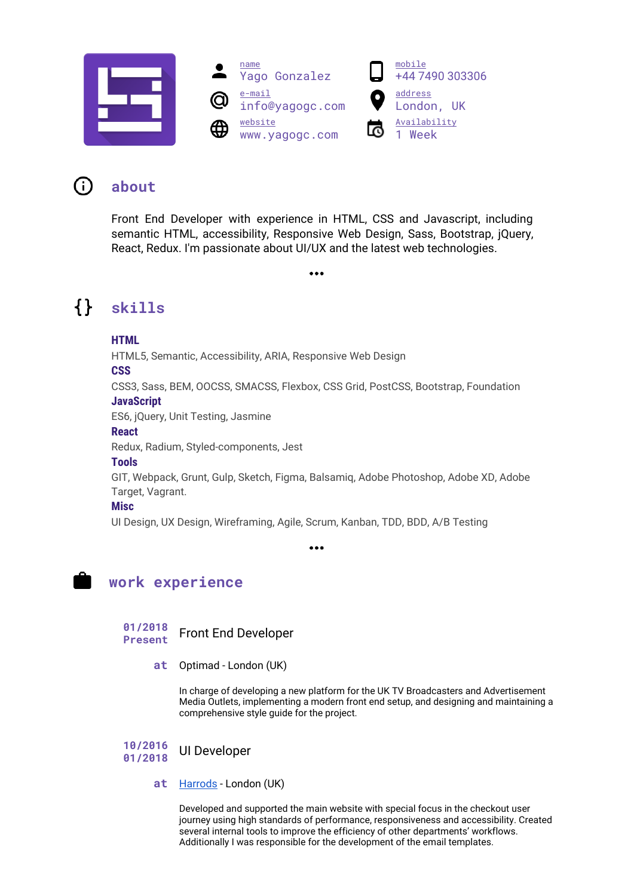





### **about** 0

Front End Developer with experience in HTML, CSS and Javascript, including semantic HTML, accessibility, Responsive Web Design, Sass, Bootstrap, jQuery, React, Redux. I'm passionate about UI/UX and the latest web technologies.

 $\bullet \bullet \bullet$ 

 $\{\}$ **skills**

## **HTML**

HTML5, Semantic, Accessibility, ARIA, Responsive Web Design

## **CSS**

CSS3, Sass, BEM, OOCSS, SMACSS, Flexbox, CSS Grid, PostCSS, Bootstrap, Foundation **JavaScript**

ES6, jQuery, Unit Testing, Jasmine

### **React**

Redux, Radium, Styled-components, Jest

## **Tools**

GIT, Webpack, Grunt, Gulp, Sketch, Figma, Balsamiq, Adobe Photoshop, Adobe XD, Adobe Target, Vagrant.

## **Misc**

UI Design, UX Design, Wireframing, Agile, Scrum, Kanban, TDD, BDD, A/B Testing

 $\ddot{\bullet}\dot{\bullet}\dot{\bullet}$ 



## **work experience**

**01/2018 Present** Front End Developer

**at** Optimad - London (UK)

In charge of developing a new platform for the UK TV Broadcasters and Advertisement Media Outlets, implementing a modern front end setup, and designing and maintaining a comprehensive style guide for the project.

#### **10/2016 01/2018** UI Developer

## **at** [Harrods](https://www.harrods.com/en-gb) - London (UK)

Developed and supported the main website with special focus in the checkout user journey using high standards of performance, responsiveness and accessibility. Created several internal tools to improve the efficiency of other departments' workflows. Additionally I was responsible for the development of the email templates.